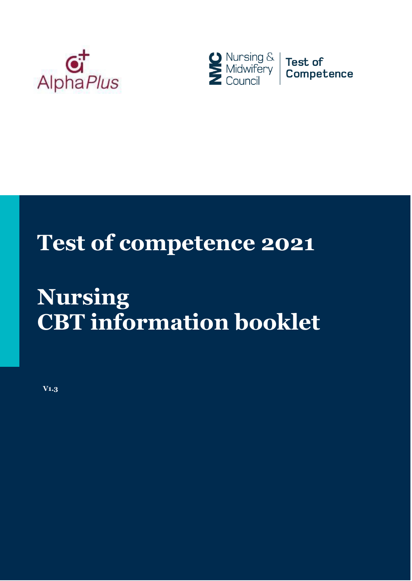



# **Test of competence 2021**

# **Nursing CBT information booklet**

**V1.3**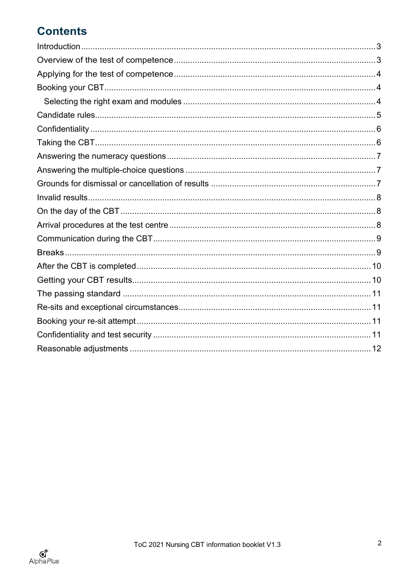## **Contents**

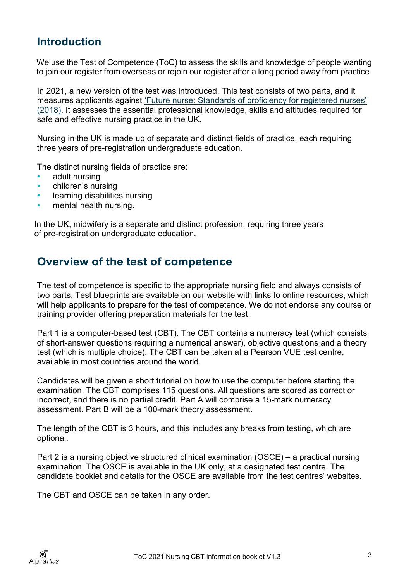#### <span id="page-2-0"></span>**Introduction**

We use the Test of Competence (ToC) to assess the skills and knowledge of people wanting to join our register from overseas or rejoin our register after a long period away from practice.

In 2021, a new version of the test was introduced. This test consists of two parts, and it measures applicants against ['Future nurse: Standards of proficiency for registered nurses'](https://www.nmc.org.uk/standards/standards-for-nurses/standards-of-proficiency-for-registered-nurses/) [\(2018\).](https://www.nmc.org.uk/standards/standards-for-nurses/standards-of-proficiency-for-registered-nurses/) It assesses the essential professional knowledge, skills and attitudes required for safe and effective nursing practice in the UK.

Nursing in the UK is made up of separate and distinct fields of practice, each requiring three years of pre-registration undergraduate education.

The distinct nursing fields of practice are:

- adult nursing
- children's nursing
- learning disabilities nursing
- mental health nursing.

In the UK, midwifery is a separate and distinct profession, requiring three years of pre-registration undergraduate education.

#### <span id="page-2-1"></span>**Overview of the test of competence**

The test of competence is specific to the appropriate nursing field and always consists of two parts. Test blueprints are available on our website with links to online resources, which will help applicants to prepare for the test of competence. We do not endorse any course or training provider offering preparation materials for the test.

Part 1 is a computer-based test (CBT). The CBT contains a numeracy test (which consists of short-answer questions requiring a numerical answer), objective questions and a theory test (which is multiple choice). The CBT can be taken at a Pearson VUE test centre, available in most countries around the world.

Candidates will be given a short tutorial on how to use the computer before starting the examination. The CBT comprises 115 questions. All questions are scored as correct or incorrect, and there is no partial credit. Part A will comprise a 15-mark numeracy assessment. Part B will be a 100-mark theory assessment.

The length of the CBT is 3 hours, and this includes any breaks from testing, which are optional.

Part 2 is a nursing objective structured clinical examination (OSCE) – a practical nursing examination. The OSCE is available in the UK only, at a designated test centre. The candidate booklet and details for the OSCE are available from the test centres' websites.

The CBT and OSCE can be taken in any order.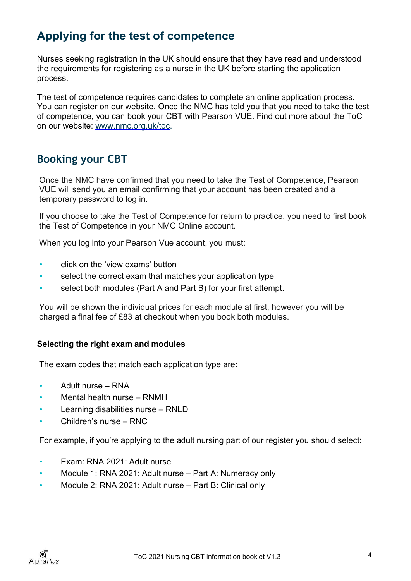## <span id="page-3-0"></span>**Applying for the test of competence**

Nurses seeking registration in the UK should ensure that they have read and understood the requirements for registering as a nurse in the UK before starting the application process.

The test of competence requires candidates to complete an online application process. You can register on our website. Once the NMC has told you that you need to take the test of competence, you can book your CBT with Pearson VUE. Find out more about the ToC on our website: [www.nmc.org.uk/toc.](http://www.nmc.org.uk/toc)

#### <span id="page-3-1"></span>**Booking your CBT**

Once the NMC have confirmed that you need to take the Test of Competence, Pearson VUE will send you an email confirming that your account has been created and a temporary password to log in.

If you choose to take the Test of Competence for return to practice, you need to first book the Test of Competence in your NMC Online account.

When you log into your Pearson Vue account, you must:

- click on the 'view exams' button
- select the correct exam that matches your application type
- select both modules (Part A and Part B) for your first attempt.

You will be shown the individual prices for each module at first, however you will be charged a final fee of £83 at checkout when you book both modules.

#### <span id="page-3-2"></span>**Selecting the right exam and modules**

The exam codes that match each application type are:

- Adult nurse RNA
- Mental health nurse RNMH
- Learning disabilities nurse RNLD
- Children's nurse RNC

For example, if you're applying to the adult nursing part of our register you should select:

- Exam: RNA 2021: Adult nurse
- Module 1: RNA 2021: Adult nurse Part A: Numeracy only
- Module 2: RNA 2021: Adult nurse Part B: Clinical only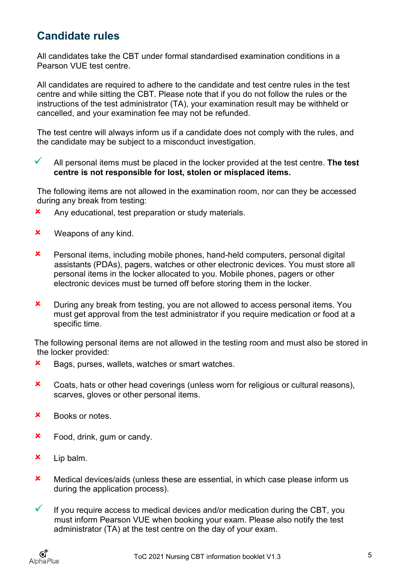### <span id="page-4-0"></span>**Candidate rules**

All candidates take the CBT under formal standardised examination conditions in a Pearson VUE test centre.

All candidates are required to adhere to the candidate and test centre rules in the test centre and while sitting the CBT. Please note that if you do not follow the rules or the instructions of the test administrator (TA), your examination result may be withheld or cancelled, and your examination fee may not be refunded.

The test centre will always inform us if a candidate does not comply with the rules, and the candidate may be subject to a misconduct investigation.

 All personal items must be placed in the locker provided at the test centre. **The test centre is not responsible for lost, stolen or misplaced items.**

The following items are not allowed in the examination room, nor can they be accessed during any break from testing:

- **x** Any educational, test preparation or study materials.
- **x** Weapons of any kind.
- Personal items, including mobile phones, hand-held computers, personal digital assistants (PDAs), pagers, watches or other electronic devices. You must store all personal items in the locker allocated to you. Mobile phones, pagers or other electronic devices must be turned off before storing them in the locker.
- **x** During any break from testing, you are not allowed to access personal items. You must get approval from the test administrator if you require medication or food at a specific time.

The following personal items are not allowed in the testing room and must also be stored in the locker provided:

- **x** Bags, purses, wallets, watches or smart watches.
- **x** Coats, hats or other head coverings (unless worn for religious or cultural reasons), scarves, gloves or other personal items.
- Books or notes.
- **\*** Food, drink, gum or candy.
- Lip balm.
- Medical devices/aids (unless these are essential, in which case please inform us during the application process).
- $\checkmark$  If you require access to medical devices and/or medication during the CBT, you must inform Pearson VUE when booking your exam. Please also notify the test administrator (TA) at the test centre on the day of your exam.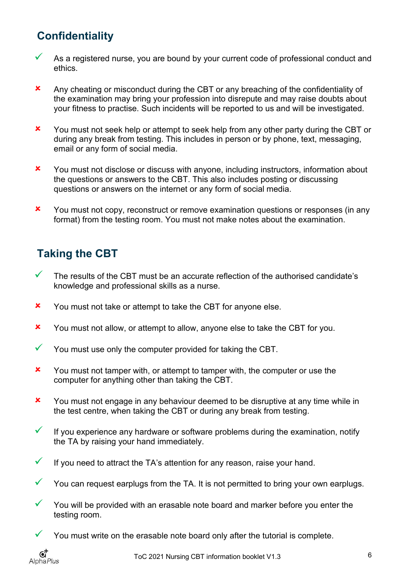## <span id="page-5-0"></span>**Confidentiality**

- As a registered nurse, you are bound by your current code of professional conduct and ethics.
- Any cheating or misconduct during the CBT or any breaching of the confidentiality of the examination may bring your profession into disrepute and may raise doubts about your fitness to practise. Such incidents will be reported to us and will be investigated.
- X You must not seek help or attempt to seek help from any other party during the CBT or during any break from testing. This includes in person or by phone, text, messaging, email or any form of social media.
- X You must not disclose or discuss with anyone, including instructors, information about the questions or answers to the CBT. This also includes posting or discussing questions or answers on the internet or any form of social media.
- X You must not copy, reconstruct or remove examination questions or responses (in any format) from the testing room. You must not make notes about the examination.

## <span id="page-5-1"></span>**Taking the CBT**

- $\checkmark$  The results of the CBT must be an accurate reflection of the authorised candidate's knowledge and professional skills as a nurse.
- **x** You must not take or attempt to take the CBT for anyone else.
- X You must not allow, or attempt to allow, anyone else to take the CBT for you.
- $\checkmark$  You must use only the computer provided for taking the CBT.
- X You must not tamper with, or attempt to tamper with, the computer or use the computer for anything other than taking the CBT.
- X You must not engage in any behaviour deemed to be disruptive at any time while in the test centre, when taking the CBT or during any break from testing.
- $\checkmark$  If you experience any hardware or software problems during the examination, notify the TA by raising your hand immediately.
- $\checkmark$  If you need to attract the TA's attention for any reason, raise your hand.
- $\checkmark$  You can request earplugs from the TA. It is not permitted to bring your own earplugs.
- $\checkmark$  You will be provided with an erasable note board and marker before you enter the testing room.
- $\checkmark$  You must write on the erasable note board only after the tutorial is complete.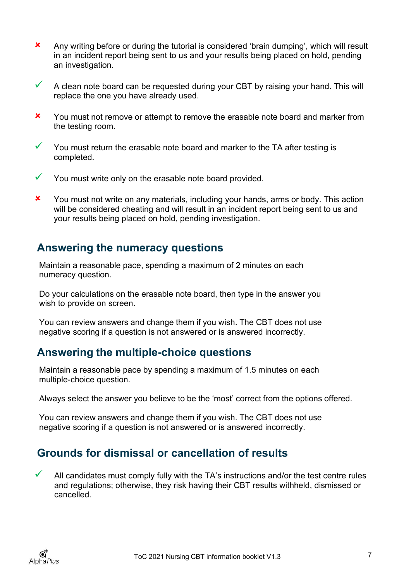- Any writing before or during the tutorial is considered 'brain dumping', which will result in an incident report being sent to us and your results being placed on hold, pending an investigation.
- $\checkmark$  A clean note board can be requested during your CBT by raising your hand. This will replace the one you have already used.
- X You must not remove or attempt to remove the erasable note board and marker from the testing room.
- $\checkmark$  You must return the erasable note board and marker to the TA after testing is completed.
- $\checkmark$  You must write only on the erasable note board provided.
- **x** You must not write on any materials, including your hands, arms or body. This action will be considered cheating and will result in an incident report being sent to us and your results being placed on hold, pending investigation.

#### <span id="page-6-0"></span>**Answering the numeracy questions**

Maintain a reasonable pace, spending a maximum of 2 minutes on each numeracy question.

Do your calculations on the erasable note board, then type in the answer you wish to provide on screen.

You can review answers and change them if you wish. The CBT does not use negative scoring if a question is not answered or is answered incorrectly.

#### <span id="page-6-1"></span>**Answering the multiple-choice questions**

Maintain a reasonable pace by spending a maximum of 1.5 minutes on each multiple-choice question.

Always select the answer you believe to be the 'most' correct from the options offered.

You can review answers and change them if you wish. The CBT does not use negative scoring if a question is not answered or is answered incorrectly.

#### <span id="page-6-2"></span>**Grounds for dismissal or cancellation of results**

 All candidates must comply fully with the TA's instructions and/or the test centre rules and regulations; otherwise, they risk having their CBT results withheld, dismissed or cancelled.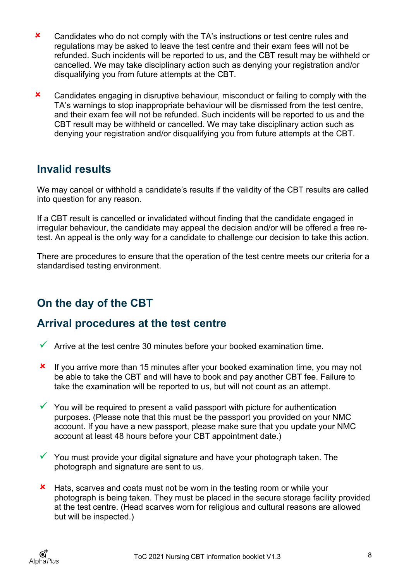- **x** Candidates who do not comply with the TA's instructions or test centre rules and regulations may be asked to leave the test centre and their exam fees will not be refunded. Such incidents will be reported to us, and the CBT result may be withheld or cancelled. We may take disciplinary action such as denying your registration and/or disqualifying you from future attempts at the CBT.
- **x** Candidates engaging in disruptive behaviour, misconduct or failing to comply with the TA's warnings to stop inappropriate behaviour will be dismissed from the test centre, and their exam fee will not be refunded. Such incidents will be reported to us and the CBT result may be withheld or cancelled. We may take disciplinary action such as denying your registration and/or disqualifying you from future attempts at the CBT.

#### <span id="page-7-0"></span>**Invalid results**

We may cancel or withhold a candidate's results if the validity of the CBT results are called into question for any reason.

If a CBT result is cancelled or invalidated without finding that the candidate engaged in irregular behaviour, the candidate may appeal the decision and/or will be offered a free retest. An appeal is the only way for a candidate to challenge our decision to take this action.

There are procedures to ensure that the operation of the test centre meets our criteria for a standardised testing environment.

## <span id="page-7-1"></span>**On the day of the CBT**

#### <span id="page-7-2"></span>**Arrival procedures at the test centre**

- $\checkmark$  Arrive at the test centre 30 minutes before your booked examination time.
- **x** If you arrive more than 15 minutes after your booked examination time, you may not be able to take the CBT and will have to book and pay another CBT fee. Failure to take the examination will be reported to us, but will not count as an attempt.
- $\checkmark$  You will be required to present a valid passport with picture for authentication purposes. (Please note that this must be the passport you provided on your NMC account. If you have a new passport, please make sure that you update your NMC account at least 48 hours before your CBT appointment date.)
- $\checkmark$  You must provide your digital signature and have your photograph taken. The photograph and signature are sent to us.
- **\*** Hats, scarves and coats must not be worn in the testing room or while your photograph is being taken. They must be placed in the secure storage facility provided at the test centre. (Head scarves worn for religious and cultural reasons are allowed but will be inspected.)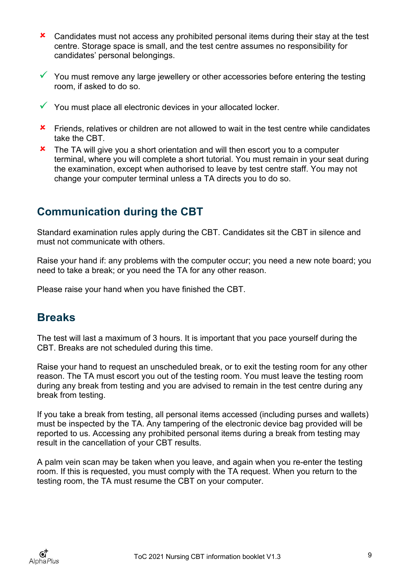- **x** Candidates must not access any prohibited personal items during their stay at the test centre. Storage space is small, and the test centre assumes no responsibility for candidates' personal belongings.
- $\checkmark$  You must remove any large jewellery or other accessories before entering the testing room, if asked to do so.
- $\checkmark$  You must place all electronic devices in your allocated locker.
- **\*** Friends, relatives or children are not allowed to wait in the test centre while candidates take the CBT.
- **x** The TA will give you a short orientation and will then escort you to a computer terminal, where you will complete a short tutorial. You must remain in your seat during the examination, except when authorised to leave by test centre staff. You may not change your computer terminal unless a TA directs you to do so.

### <span id="page-8-0"></span>**Communication during the CBT**

Standard examination rules apply during the CBT. Candidates sit the CBT in silence and must not communicate with others.

Raise your hand if: any problems with the computer occur; you need a new note board; you need to take a break; or you need the TA for any other reason.

Please raise your hand when you have finished the CBT.

#### <span id="page-8-1"></span>**Breaks**

The test will last a maximum of 3 hours. It is important that you pace yourself during the CBT. Breaks are not scheduled during this time.

Raise your hand to request an unscheduled break, or to exit the testing room for any other reason. The TA must escort you out of the testing room. You must leave the testing room during any break from testing and you are advised to remain in the test centre during any break from testing.

If you take a break from testing, all personal items accessed (including purses and wallets) must be inspected by the TA. Any tampering of the electronic device bag provided will be reported to us. Accessing any prohibited personal items during a break from testing may result in the cancellation of your CBT results.

A palm vein scan may be taken when you leave, and again when you re-enter the testing room. If this is requested, you must comply with the TA request. When you return to the testing room, the TA must resume the CBT on your computer.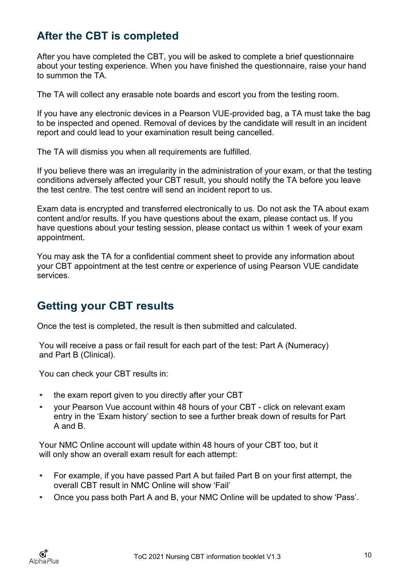## <span id="page-9-0"></span>**After the CBT is completed**

After you have completed the CBT, you will be asked to complete a brief questionnaire about your testing experience. When you have finished the questionnaire, raise your hand to summon the TA.

The TA will collect any erasable note boards and escort you from the testing room.

If you have any electronic devices in a Pearson VUE-provided bag, a TA must take the bag to be inspected and opened. Removal of devices by the candidate will result in an incident report and could lead to your examination result being cancelled.

The TA will dismiss you when all requirements are fulfilled.

If you believe there was an irregularity in the administration of your exam, or that the testing conditions adversely affected your CBT result, you should notify the TA before you leave the test centre. The test centre will send an incident report to us.

Exam data is encrypted and transferred electronically to us. Do not ask the TA about exam content and/or results. If you have questions about the exam, please contact us. If you have questions about your testing session, please contact us within 1 week of your exam appointment.

You may ask the TA for a confidential comment sheet to provide any information about your CBT appointment at the test centre or experience of using Pearson VUE candidate services.

### <span id="page-9-1"></span>**Getting your CBT results**

Once the test is completed, the result is then submitted and calculated.

You will receive a pass or fail result for each part of the test: Part A (Numeracy) and Part B (Clinical).

You can check your CBT results in:

- the exam report given to you directly after your CBT
- your Pearson Vue account within 48 hours of your CBT click on relevant exam entry in the 'Exam history' section to see a further break down of results for Part A and B.

Your NMC Online account will update within 48 hours of your CBT too, but it will only show an overall exam result for each attempt:

- For example, if you have passed Part A but failed Part B on your first attempt, the overall CBT result in NMC Online will show 'Fail'
- Once you pass both Part A and B, your NMC Online will be updated to show 'Pass'.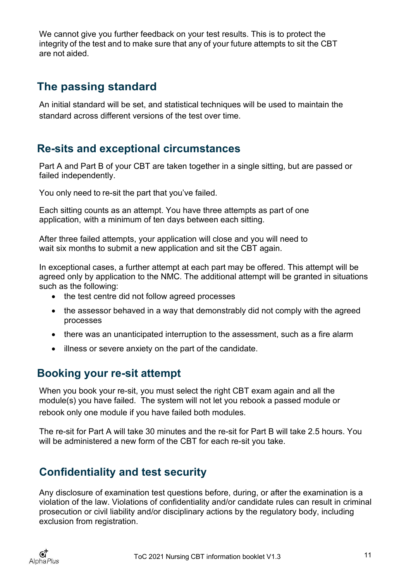We cannot give you further feedback on your test results. This is to protect the integrity of the test and to make sure that any of your future attempts to sit the CBT are not aided.

### <span id="page-10-0"></span>**The passing standard**

An initial standard will be set, and statistical techniques will be used to maintain the standard across different versions of the test over time.

#### <span id="page-10-1"></span>**Re-sits and exceptional circumstances**

Part A and Part B of your CBT are taken together in a single sitting, but are passed or failed independently.

You only need to re-sit the part that you've failed.

Each sitting counts as an attempt. You have three attempts as part of one application, with a minimum of ten days between each sitting.

After three failed attempts, your application will close and you will need to wait six months to submit a new application and sit the CBT again.

In exceptional cases, a further attempt at each part may be offered. This attempt will be agreed only by application to the NMC. The additional attempt will be granted in situations such as the following:

- the test centre did not follow agreed processes
- the assessor behaved in a way that demonstrably did not comply with the agreed processes
- there was an unanticipated interruption to the assessment, such as a fire alarm
- illness or severe anxiety on the part of the candidate.

#### <span id="page-10-2"></span>**Booking your re-sit attempt**

When you book your re-sit, you must select the right CBT exam again and all the module(s) you have failed. The system will not let you rebook a passed module or rebook only one module if you have failed both modules.

The re-sit for Part A will take 30 minutes and the re-sit for Part B will take 2.5 hours. You will be administered a new form of the CBT for each re-sit you take.

#### <span id="page-10-3"></span>**Confidentiality and test security**

Any disclosure of examination test questions before, during, or after the examination is a violation of the law. Violations of confidentiality and/or candidate rules can result in criminal prosecution or civil liability and/or disciplinary actions by the regulatory body, including exclusion from registration.